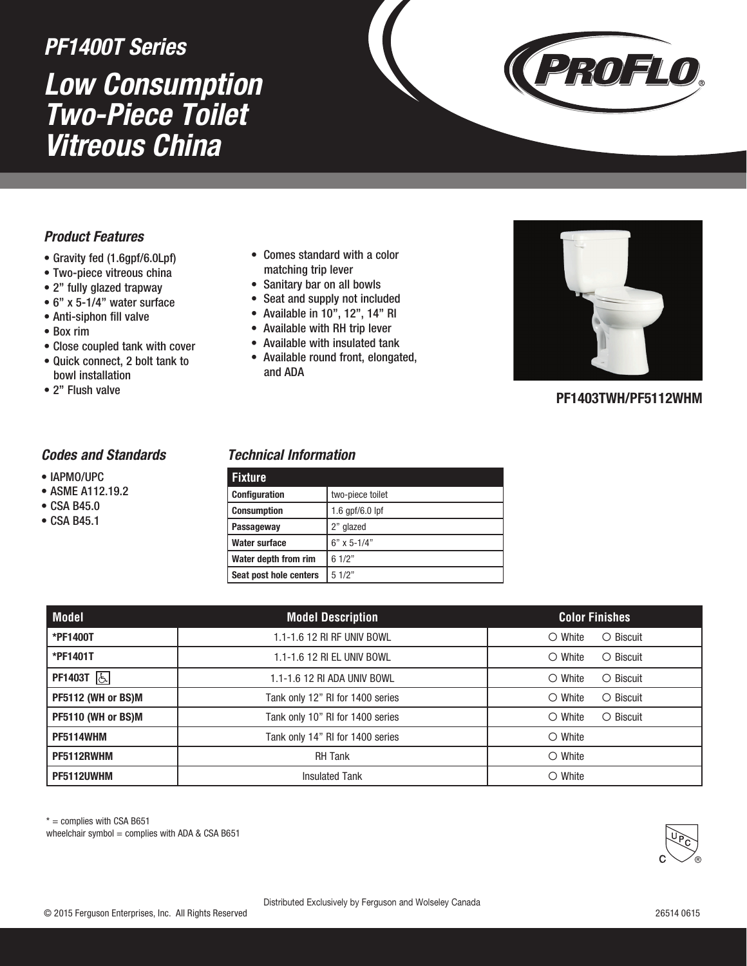# *Low Consumption Two-Piece Toilet Vitreous China PF1400T Series*



## *Product Features*

- Gravity fed (1.6gpf/6.0Lpf)
- Two-piece vitreous china
- 2" fully glazed trapway
- 6" x 5-1/4" water surface
- Anti-siphon fill valve
- Box rim
- Close coupled tank with cover
- Quick connect, 2 bolt tank to bowl installation
- 2" Flush valve

#### • Comes standard with a color matching trip lever

- Sanitary bar on all bowls
- Seat and supply not included
- Available in 10", 12", 14" RI
- Available with RH trip lever
- Available with insulated tank
- Available round front, elongated, and ADA



### **PF1403TWH/PF5112WHM**

#### *Codes and Standards*

- IAPMO/UPC
- ASME A112.19.2
- CSA B45.0
- CSA B45.1

#### *Technical Information*

| <b>Fixture</b>         |                   |
|------------------------|-------------------|
| <b>Configuration</b>   | two-piece toilet  |
| <b>Consumption</b>     | 1.6 $qpf/6.0$ lpf |
| Passageway             | 2" glazed         |
| <b>Water surface</b>   | $6"$ x 5-1/4"     |
| Water depth from rim   | 61/2"             |
| Seat post hole centers | 51/2"             |

| Model              | <b>Model Description</b>         | <b>Color Finishes</b>               |
|--------------------|----------------------------------|-------------------------------------|
| *PF1400T           | 1.1-1.6 12 RI RF UNIV BOWL       | $\circ$ Biscuit<br>$\bigcirc$ White |
| *PF1401T           | 1.1-1.6 12 RI EL UNIV BOWL       | $\circ$ Biscuit<br>$\bigcirc$ White |
| PF1403T 6          | 1.1-1.6 12 RI ADA UNIV BOWL      | $\circ$ White<br>$\bigcirc$ Biscuit |
| PF5112 (WH or BS)M | Tank only 12" RI for 1400 series | $\circ$ White<br>$\circ$ Biscuit    |
| PF5110 (WH or BS)M | Tank only 10" RI for 1400 series | $\bigcirc$ White<br>$\circ$ Biscuit |
| <b>PF5114WHM</b>   | Tank only 14" RI for 1400 series | $\circ$ White                       |
| PF5112RWHM         | <b>RH Tank</b>                   | $\circ$ White                       |
| PF5112UWHM         | <b>Insulated Tank</b>            | $\circ$ White                       |

 $* =$  complies with CSA B651

wheelchair symbol = complies with ADA & CSA B651